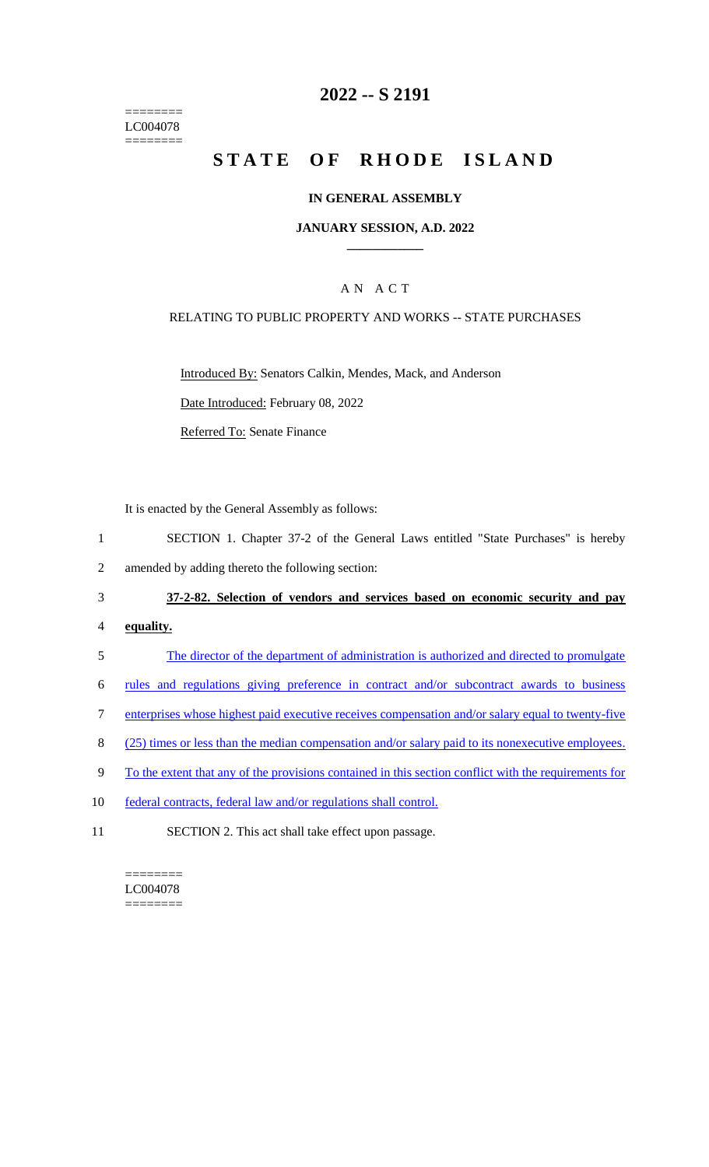======== LC004078 ========

# **2022 -- S 2191**

# **STATE OF RHODE ISLAND**

#### **IN GENERAL ASSEMBLY**

#### **JANUARY SESSION, A.D. 2022 \_\_\_\_\_\_\_\_\_\_\_\_**

## A N A C T

### RELATING TO PUBLIC PROPERTY AND WORKS -- STATE PURCHASES

Introduced By: Senators Calkin, Mendes, Mack, and Anderson

Date Introduced: February 08, 2022

Referred To: Senate Finance

It is enacted by the General Assembly as follows:

- 1 SECTION 1. Chapter 37-2 of the General Laws entitled "State Purchases" is hereby
- 2 amended by adding thereto the following section:

#### 3 **37-2-82. Selection of vendors and services based on economic security and pay**

- 4 **equality.**
- 5 The director of the department of administration is authorized and directed to promulgate
- 6 rules and regulations giving preference in contract and/or subcontract awards to business
- 7 enterprises whose highest paid executive receives compensation and/or salary equal to twenty-five
- 8 (25) times or less than the median compensation and/or salary paid to its nonexecutive employees.
- 9 To the extent that any of the provisions contained in this section conflict with the requirements for
- 10 federal contracts, federal law and/or regulations shall control.
- 11 SECTION 2. This act shall take effect upon passage.

======== LC004078  $=$